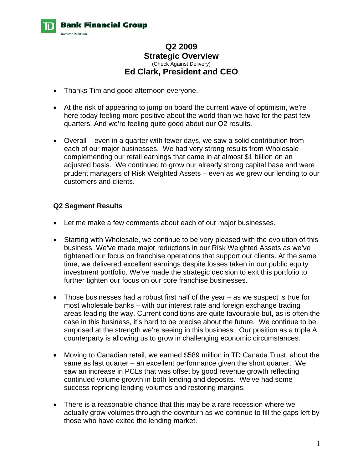

# **Q2 2009 Strategic Overview**  (Check Against Delivery) **Ed Clark, President and CEO**

- Thanks Tim and good afternoon everyone.
- At the risk of appearing to jump on board the current wave of optimism, we're here today feeling more positive about the world than we have for the past few quarters. And we're feeling quite good about our Q2 results.
- Overall even in a quarter with fewer days, we saw a solid contribution from each of our major businesses. We had very strong results from Wholesale complementing our retail earnings that came in at almost \$1 billion on an adjusted basis. We continued to grow our already strong capital base and were prudent managers of Risk Weighted Assets – even as we grew our lending to our customers and clients.

### **Q2 Segment Results**

- Let me make a few comments about each of our major businesses.
- Starting with Wholesale, we continue to be very pleased with the evolution of this business. We've made major reductions in our Risk Weighted Assets as we've tightened our focus on franchise operations that support our clients. At the same time, we delivered excellent earnings despite losses taken in our public equity investment portfolio. We've made the strategic decision to exit this portfolio to further tighten our focus on our core franchise businesses.
- Those businesses had a robust first half of the year as we suspect is true for most wholesale banks – with our interest rate and foreign exchange trading areas leading the way. Current conditions are quite favourable but, as is often the case in this business, it's hard to be precise about the future. We continue to be surprised at the strength we're seeing in this business. Our position as a triple A counterparty is allowing us to grow in challenging economic circumstances.
- Moving to Canadian retail, we earned \$589 million in TD Canada Trust, about the same as last quarter – an excellent performance given the short quarter. We saw an increase in PCLs that was offset by good revenue growth reflecting continued volume growth in both lending and deposits. We've had some success repricing lending volumes and restoring margins.
- There is a reasonable chance that this may be a rare recession where we actually grow volumes through the downturn as we continue to fill the gaps left by those who have exited the lending market.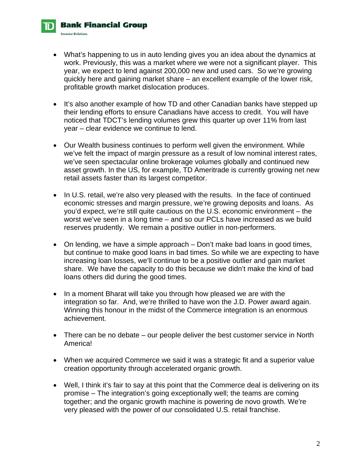• What's happening to us in auto lending gives you an idea about the dynamics at work. Previously, this was a market where we were not a significant player. This year, we expect to lend against 200,000 new and used cars. So we're growing quickly here and gaining market share – an excellent example of the lower risk, profitable growth market dislocation produces.

**Bank Financial Group** 

**Investor Relations** 

- It's also another example of how TD and other Canadian banks have stepped up their lending efforts to ensure Canadians have access to credit. You will have noticed that TDCT's lending volumes grew this quarter up over 11% from last year – clear evidence we continue to lend.
- Our Wealth business continues to perform well given the environment. While we've felt the impact of margin pressure as a result of low nominal interest rates, we've seen spectacular online brokerage volumes globally and continued new asset growth. In the US, for example, TD Ameritrade is currently growing net new retail assets faster than its largest competitor.
- In U.S. retail, we're also very pleased with the results. In the face of continued economic stresses and margin pressure, we're growing deposits and loans. As you'd expect, we're still quite cautious on the U.S. economic environment – the worst we've seen in a long time – and so our PCLs have increased as we build reserves prudently. We remain a positive outlier in non-performers.
- On lending, we have a simple approach Don't make bad loans in good times, but continue to make good loans in bad times. So while we are expecting to have increasing loan losses, we'll continue to be a positive outlier and gain market share. We have the capacity to do this because we didn't make the kind of bad loans others did during the good times.
- In a moment Bharat will take you through how pleased we are with the integration so far. And, we're thrilled to have won the J.D. Power award again. Winning this honour in the midst of the Commerce integration is an enormous achievement.
- There can be no debate our people deliver the best customer service in North America!
- When we acquired Commerce we said it was a strategic fit and a superior value creation opportunity through accelerated organic growth.
- Well, I think it's fair to say at this point that the Commerce deal is delivering on its promise – The integration's going exceptionally well; the teams are coming together; and the organic growth machine is powering de novo growth. We're very pleased with the power of our consolidated U.S. retail franchise.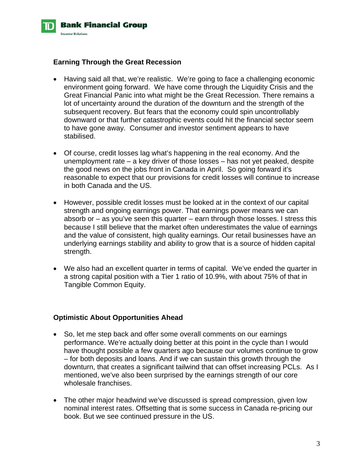

#### **Earning Through the Great Recession**

- Having said all that, we're realistic. We're going to face a challenging economic environment going forward. We have come through the Liquidity Crisis and the Great Financial Panic into what might be the Great Recession. There remains a lot of uncertainty around the duration of the downturn and the strength of the subsequent recovery. But fears that the economy could spin uncontrollably downward or that further catastrophic events could hit the financial sector seem to have gone away. Consumer and investor sentiment appears to have stabilised.
- Of course, credit losses lag what's happening in the real economy. And the unemployment rate – a key driver of those losses – has not yet peaked, despite the good news on the jobs front in Canada in April. So going forward it's reasonable to expect that our provisions for credit losses will continue to increase in both Canada and the US.
- However, possible credit losses must be looked at in the context of our capital strength and ongoing earnings power. That earnings power means we can absorb or – as you've seen this quarter – earn through those losses. I stress this because I still believe that the market often underestimates the value of earnings and the value of consistent, high quality earnings. Our retail businesses have an underlying earnings stability and ability to grow that is a source of hidden capital strength.
- We also had an excellent quarter in terms of capital. We've ended the quarter in a strong capital position with a Tier 1 ratio of 10.9%, with about 75% of that in Tangible Common Equity.

### **Optimistic About Opportunities Ahead**

- So, let me step back and offer some overall comments on our earnings performance. We're actually doing better at this point in the cycle than I would have thought possible a few quarters ago because our volumes continue to grow – for both deposits and loans. And if we can sustain this growth through the downturn, that creates a significant tailwind that can offset increasing PCLs. As I mentioned, we've also been surprised by the earnings strength of our core wholesale franchises.
- The other major headwind we've discussed is spread compression, given low nominal interest rates. Offsetting that is some success in Canada re-pricing our book. But we see continued pressure in the US.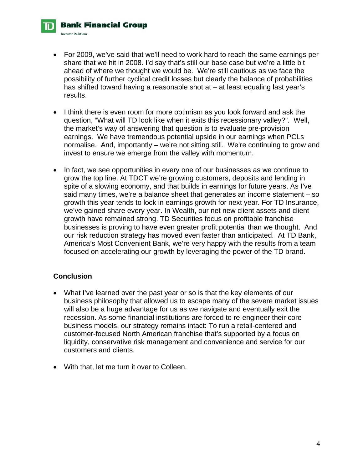• For 2009, we've said that we'll need to work hard to reach the same earnings per share that we hit in 2008. I'd say that's still our base case but we're a little bit ahead of where we thought we would be. We're still cautious as we face the possibility of further cyclical credit losses but clearly the balance of probabilities has shifted toward having a reasonable shot at – at least equaling last year's results.

- I think there is even room for more optimism as you look forward and ask the question, "What will TD look like when it exits this recessionary valley?". Well, the market's way of answering that question is to evaluate pre-provision earnings. We have tremendous potential upside in our earnings when PCLs normalise. And, importantly – we're not sitting still. We're continuing to grow and invest to ensure we emerge from the valley with momentum.
- In fact, we see opportunities in every one of our businesses as we continue to grow the top line. At TDCT we're growing customers, deposits and lending in spite of a slowing economy, and that builds in earnings for future years. As I've said many times, we're a balance sheet that generates an income statement – so growth this year tends to lock in earnings growth for next year. For TD Insurance, we've gained share every year. In Wealth, our net new client assets and client growth have remained strong. TD Securities focus on profitable franchise businesses is proving to have even greater profit potential than we thought. And our risk reduction strategy has moved even faster than anticipated. At TD Bank, America's Most Convenient Bank, we're very happy with the results from a team focused on accelerating our growth by leveraging the power of the TD brand.

## **Conclusion**

**Bank Financial Group** 

**Investor Relations** 

- What I've learned over the past year or so is that the key elements of our business philosophy that allowed us to escape many of the severe market issues will also be a huge advantage for us as we navigate and eventually exit the recession. As some financial institutions are forced to re-engineer their core business models, our strategy remains intact: To run a retail-centered and customer-focused North American franchise that's supported by a focus on liquidity, conservative risk management and convenience and service for our customers and clients.
- With that, let me turn it over to Colleen.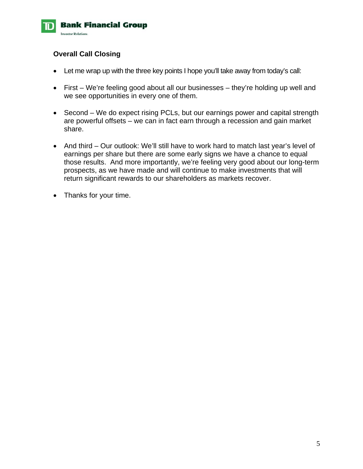

## **Overall Call Closing**

- Let me wrap up with the three key points I hope you'll take away from today's call:
- First We're feeling good about all our businesses they're holding up well and we see opportunities in every one of them.
- Second We do expect rising PCLs, but our earnings power and capital strength are powerful offsets – we can in fact earn through a recession and gain market share.
- And third Our outlook: We'll still have to work hard to match last year's level of earnings per share but there are some early signs we have a chance to equal those results. And more importantly, we're feeling very good about our long-term prospects, as we have made and will continue to make investments that will return significant rewards to our shareholders as markets recover.
- Thanks for your time.